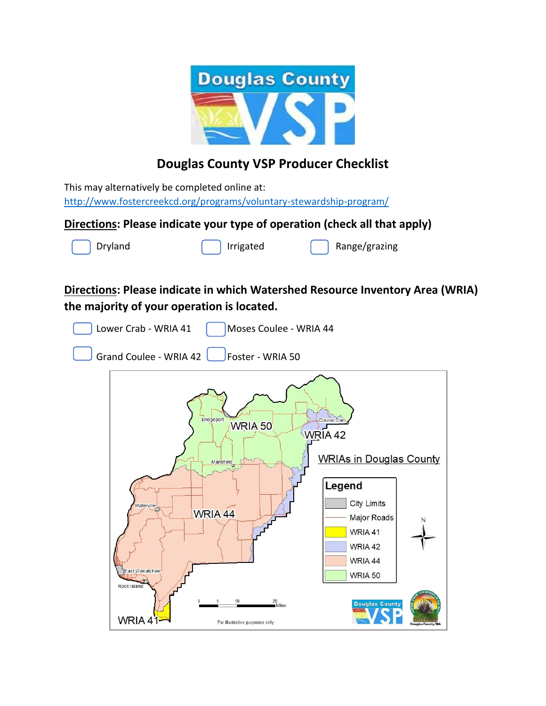

# **Douglas County VSP Producer Checklist**

This may alternatively be completed online at: <http://www.fostercreekcd.org/programs/voluntary-stewardship-program/>

### **Directions: Please indicate your type of operation (check all that apply)**



## **Directions: Please indicate in which Watershed Resource Inventory Area (WRIA) the majority of your operation is located.**

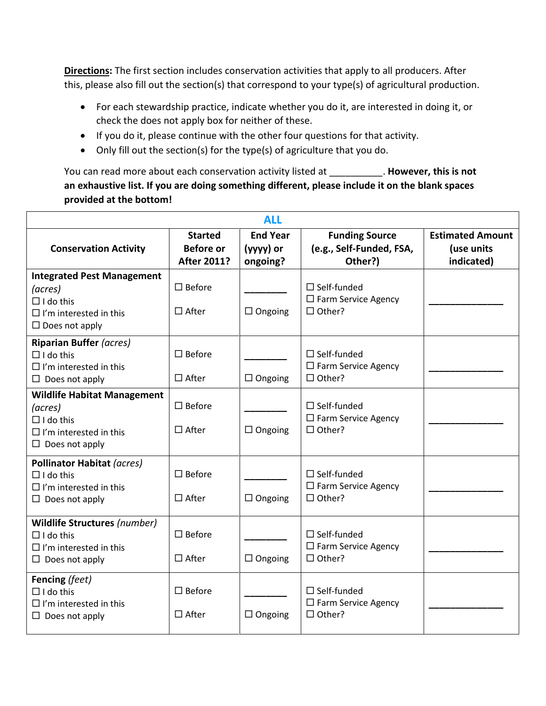**Directions:** The first section includes conservation activities that apply to all producers. After this, please also fill out the section(s) that correspond to your type(s) of agricultural production.

- For each stewardship practice, indicate whether you do it, are interested in doing it, or check the does not apply box for neither of these.
- If you do it, please continue with the other four questions for that activity.
- Only fill out the section(s) for the type(s) of agriculture that you do.

You can read more about each conservation activity listed at \_\_\_\_\_\_\_\_\_\_. **However, this is not an exhaustive list. If you are doing something different, please include it on the blank spaces provided at the bottom!** 

| <b>ALL</b>                                                                                                                  |                                                          |                                          |                                                                         |                                                     |  |  |
|-----------------------------------------------------------------------------------------------------------------------------|----------------------------------------------------------|------------------------------------------|-------------------------------------------------------------------------|-----------------------------------------------------|--|--|
| <b>Conservation Activity</b>                                                                                                | <b>Started</b><br><b>Before or</b><br><b>After 2011?</b> | <b>End Year</b><br>(yyyy) or<br>ongoing? | <b>Funding Source</b><br>(e.g., Self-Funded, FSA,<br>Other?)            | <b>Estimated Amount</b><br>(use units<br>indicated) |  |  |
| <b>Integrated Pest Management</b><br>(acres)<br>$\Box$ I do this<br>$\Box$ I'm interested in this<br>$\Box$ Does not apply  | $\square$ Before<br>$\Box$ After                         | $\Box$ Ongoing                           | $\Box$ Self-funded<br>$\Box$ Farm Service Agency<br>$\Box$ Other?       |                                                     |  |  |
| <b>Riparian Buffer (acres)</b><br>$\Box$ I do this<br>$\Box$ I'm interested in this<br>$\Box$ Does not apply                | $\square$ Before<br>$\Box$ After                         | $\Box$ Ongoing                           | $\Box$ Self-funded<br>$\square$ Farm Service Agency<br>$\Box$ Other?    |                                                     |  |  |
| <b>Wildlife Habitat Management</b><br>(acres)<br>$\Box$ I do this<br>$\Box$ I'm interested in this<br>$\Box$ Does not apply | $\square$ Before<br>$\Box$ After                         | $\Box$ Ongoing                           | $\Box$ Self-funded<br>$\Box$ Farm Service Agency<br>$\Box$ Other?       |                                                     |  |  |
| <b>Pollinator Habitat (acres)</b><br>$\Box$ I do this<br>$\Box$ I'm interested in this<br>$\Box$ Does not apply             | $\square$ Before<br>$\Box$ After                         | $\Box$ Ongoing                           | $\square$ Self-funded<br>$\square$ Farm Service Agency<br>$\Box$ Other? |                                                     |  |  |
| Wildlife Structures (number)<br>$\Box$ I do this<br>$\Box$ I'm interested in this<br>$\Box$ Does not apply                  | $\square$ Before<br>$\Box$ After                         | $\Box$ Ongoing                           | $\Box$ Self-funded<br>$\square$ Farm Service Agency<br>$\Box$ Other?    |                                                     |  |  |
| Fencing (feet)<br>$\Box$ I do this<br>$\Box$ I'm interested in this<br>$\Box$ Does not apply                                | $\square$ Before<br>$\square$ After                      | $\Box$ Ongoing                           | $\Box$ Self-funded<br>$\Box$ Farm Service Agency<br>$\Box$ Other?       |                                                     |  |  |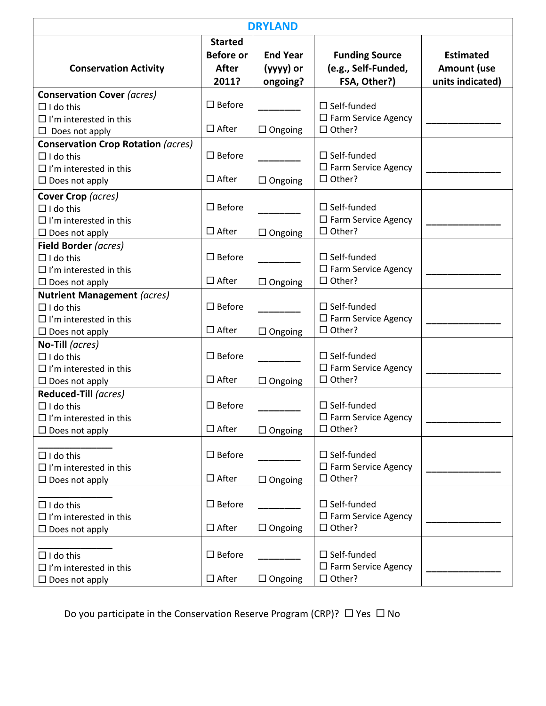| <b>DRYLAND</b>                                                                                                          |                                                      |                                          |                                                                   |                                                            |  |  |
|-------------------------------------------------------------------------------------------------------------------------|------------------------------------------------------|------------------------------------------|-------------------------------------------------------------------|------------------------------------------------------------|--|--|
| <b>Conservation Activity</b>                                                                                            | <b>Started</b><br><b>Before or</b><br>After<br>2011? | <b>End Year</b><br>(yyyy) or<br>ongoing? | <b>Funding Source</b><br>(e.g., Self-Funded,<br>FSA, Other?)      | <b>Estimated</b><br><b>Amount (use</b><br>units indicated) |  |  |
| <b>Conservation Cover (acres)</b><br>$\Box$ I do this<br>$\Box$ I'm interested in this<br>$\Box$ Does not apply         | $\square$ Before<br>$\Box$ After                     | $\Box$ Ongoing                           | $\Box$ Self-funded<br>$\Box$ Farm Service Agency<br>$\Box$ Other? |                                                            |  |  |
| <b>Conservation Crop Rotation (acres)</b><br>$\Box$ I do this<br>$\Box$ I'm interested in this<br>$\Box$ Does not apply | $\square$ Before<br>$\Box$ After                     | $\Box$ Ongoing                           | $\Box$ Self-funded<br>$\Box$ Farm Service Agency<br>$\Box$ Other? |                                                            |  |  |
| Cover Crop (acres)<br>$\Box$ I do this<br>$\Box$ I'm interested in this<br>$\Box$ Does not apply                        | $\square$ Before<br>$\Box$ After                     | $\Box$ Ongoing                           | $\square$ Self-funded<br>□ Farm Service Agency<br>$\Box$ Other?   |                                                            |  |  |
| Field Border (acres)<br>$\Box$ I do this<br>$\Box$ I'm interested in this<br>$\Box$ Does not apply                      | $\square$ Before<br>$\Box$ After                     | $\Box$ Ongoing                           | $\Box$ Self-funded<br>$\Box$ Farm Service Agency<br>$\Box$ Other? |                                                            |  |  |
| <b>Nutrient Management (acres)</b><br>$\Box$ I do this<br>$\Box$ I'm interested in this<br>$\Box$ Does not apply        | $\square$ Before<br>$\Box$ After                     | $\Box$ Ongoing                           | $\Box$ Self-funded<br>$\Box$ Farm Service Agency<br>□ Other?      |                                                            |  |  |
| No-Till (acres)<br>$\Box$ I do this<br>$\Box$ I'm interested in this<br>$\Box$ Does not apply                           | $\square$ Before<br>$\Box$ After                     | $\Box$ Ongoing                           | $\Box$ Self-funded<br>$\Box$ Farm Service Agency<br>$\Box$ Other? |                                                            |  |  |
| Reduced-Till (acres)<br>$\Box$ I do this<br>$\Box$ I'm interested in this<br>$\Box$ Does not apply                      | $\square$ Before<br>$\Box$ After                     | $\Box$ Ongoing                           | $\Box$ Self-funded<br>□ Farm Service Agency<br>$\Box$ Other?      |                                                            |  |  |
| $\Box$ I do this<br>$\Box$ I'm interested in this<br>$\Box$ Does not apply                                              | $\square$ Before<br>$\Box$ After                     | $\Box$ Ongoing                           | $\Box$ Self-funded<br>$\Box$ Farm Service Agency<br>$\Box$ Other? |                                                            |  |  |
| $\Box$ I do this<br>$\Box$ I'm interested in this<br>$\Box$ Does not apply                                              | $\square$ Before<br>$\Box$ After                     | $\Box$ Ongoing                           | $\Box$ Self-funded<br>$\Box$ Farm Service Agency<br>$\Box$ Other? |                                                            |  |  |
| $\Box$ I do this<br>$\Box$ I'm interested in this<br>$\Box$ Does not apply                                              | $\square$ Before<br>$\Box$ After                     | $\Box$ Ongoing                           | $\Box$ Self-funded<br>$\Box$ Farm Service Agency<br>$\Box$ Other? |                                                            |  |  |

Do you participate in the Conservation Reserve Program (CRP)?  $\Box$  Yes  $\Box$  No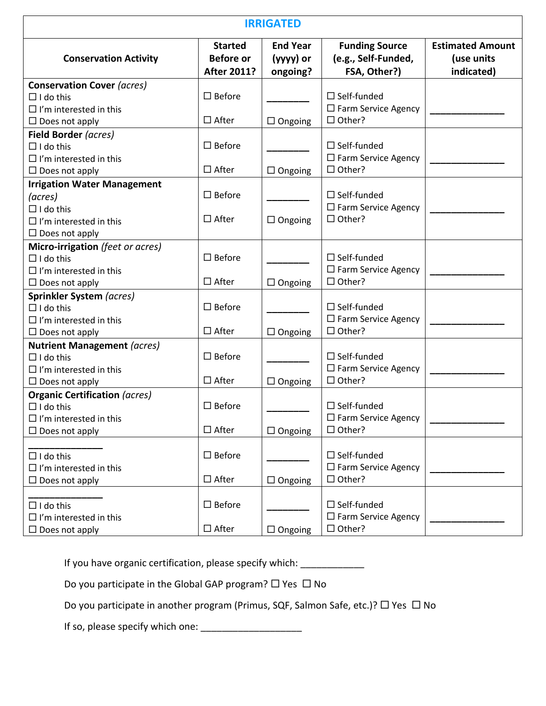| <b>IRRIGATED</b>                                                                                                            |                                                          |                                          |                                                                      |                                                     |  |  |
|-----------------------------------------------------------------------------------------------------------------------------|----------------------------------------------------------|------------------------------------------|----------------------------------------------------------------------|-----------------------------------------------------|--|--|
| <b>Conservation Activity</b>                                                                                                | <b>Started</b><br><b>Before or</b><br><b>After 2011?</b> | <b>End Year</b><br>(yyyy) or<br>ongoing? | <b>Funding Source</b><br>(e.g., Self-Funded,<br>FSA, Other?)         | <b>Estimated Amount</b><br>(use units<br>indicated) |  |  |
| <b>Conservation Cover (acres)</b><br>$\Box$ I do this<br>$\Box$ I'm interested in this                                      | $\Box$ Before                                            |                                          | $\Box$ Self-funded<br>$\square$ Farm Service Agency                  |                                                     |  |  |
| $\Box$ Does not apply                                                                                                       | $\Box$ After                                             | $\Box$ Ongoing                           | $\Box$ Other?                                                        |                                                     |  |  |
| Field Border (acres)<br>$\Box$ I do this<br>$\Box$ I'm interested in this<br>$\Box$ Does not apply                          | $\Box$ Before<br>$\Box$ After                            | $\Box$ Ongoing                           | $\Box$ Self-funded<br>$\Box$ Farm Service Agency<br>$\Box$ Other?    |                                                     |  |  |
| <b>Irrigation Water Management</b><br>(acres)<br>$\Box$ I do this<br>$\Box$ I'm interested in this<br>$\Box$ Does not apply | $\square$ Before<br>$\Box$ After                         | $\Box$ Ongoing                           | $\Box$ Self-funded<br>$\Box$ Farm Service Agency<br>$\Box$ Other?    |                                                     |  |  |
| Micro-irrigation (feet or acres)<br>$\Box$ I do this<br>$\Box$ I'm interested in this<br>$\Box$ Does not apply              | $\square$ Before<br>$\Box$ After                         | $\Box$ Ongoing                           | $\Box$ Self-funded<br>$\Box$ Farm Service Agency<br>$\Box$ Other?    |                                                     |  |  |
| <b>Sprinkler System (acres)</b><br>$\Box$ I do this<br>$\Box$ I'm interested in this<br>$\Box$ Does not apply               | $\Box$ Before<br>$\Box$ After                            | $\Box$ Ongoing                           | $\Box$ Self-funded<br>$\square$ Farm Service Agency<br>$\Box$ Other? |                                                     |  |  |
| <b>Nutrient Management (acres)</b><br>$\Box$ I do this<br>$\Box$ I'm interested in this<br>$\Box$ Does not apply            | $\Box$ Before<br>$\Box$ After                            | $\Box$ Ongoing                           | $\Box$ Self-funded<br>$\Box$ Farm Service Agency<br>$\Box$ Other?    |                                                     |  |  |
| <b>Organic Certification (acres)</b><br>$\Box$ I do this<br>$\Box$ I'm interested in this<br>$\Box$ Does not apply          | $\Box$ Before<br>$\Box$ After                            | $\Box$ Ongoing                           | $\Box$ Self-funded<br>$\Box$ Farm Service Agency<br>$\Box$ Other?    |                                                     |  |  |
| $\Box$ I do this<br>$\Box$ I'm interested in this<br>$\Box$ Does not apply                                                  | $\square$ Before<br>$\Box$ After                         | $\Box$ Ongoing                           | $\Box$ Self-funded<br>$\Box$ Farm Service Agency<br>□ Other?         |                                                     |  |  |
| $\Box$ I do this<br>$\Box$ I'm interested in this<br>$\Box$ Does not apply                                                  | $\square$ Before<br>$\Box$ After                         | $\Box$ Ongoing                           | $\Box$ Self-funded<br>$\square$ Farm Service Agency<br>$\Box$ Other? |                                                     |  |  |

|  | If you have organic certification, please specify which: |  |  |  |
|--|----------------------------------------------------------|--|--|--|
|  |                                                          |  |  |  |

Do you participate in the Global GAP program?  $\Box$  Yes  $\Box$  No

Do you participate in another program (Primus, SQF, Salmon Safe, etc.)?  $\Box$  Yes  $\Box$  No

If so, please specify which one: \_\_\_\_\_\_\_\_\_\_\_\_\_\_\_\_\_\_\_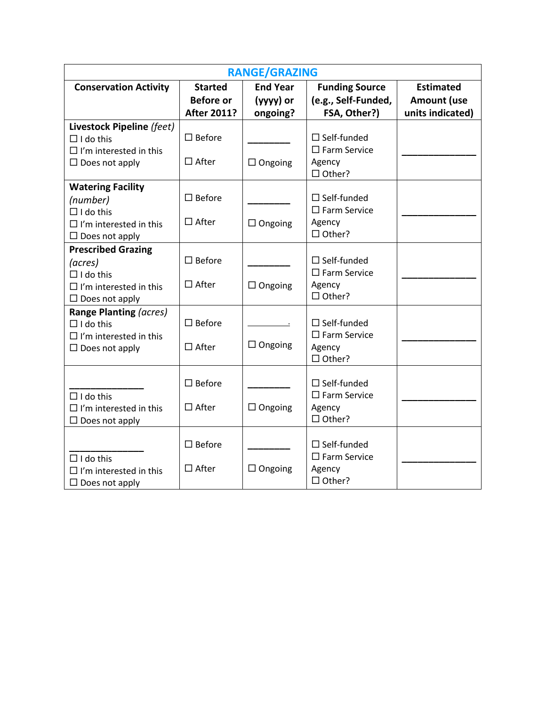| <b>RANGE/GRAZING</b>          |                    |                                  |                         |                    |  |  |
|-------------------------------|--------------------|----------------------------------|-------------------------|--------------------|--|--|
| <b>Conservation Activity</b>  | <b>Started</b>     | <b>End Year</b>                  | <b>Funding Source</b>   | <b>Estimated</b>   |  |  |
|                               | <b>Before or</b>   | (yyyy) or<br>(e.g., Self-Funded, |                         | <b>Amount (use</b> |  |  |
|                               | <b>After 2011?</b> | ongoing?                         | FSA, Other?)            | units indicated)   |  |  |
| Livestock Pipeline (feet)     |                    |                                  |                         |                    |  |  |
| $\Box$ I do this              | $\square$ Before   |                                  | $\Box$ Self-funded      |                    |  |  |
| $\Box$ I'm interested in this |                    |                                  | $\square$ Farm Service  |                    |  |  |
| $\Box$ Does not apply         | $\Box$ After       | $\Box$ Ongoing                   | Agency                  |                    |  |  |
|                               |                    |                                  | $\Box$ Other?           |                    |  |  |
| <b>Watering Facility</b>      |                    |                                  |                         |                    |  |  |
| (number)                      | $\square$ Before   |                                  | $\Box$ Self-funded      |                    |  |  |
| $\Box$ I do this              |                    |                                  | $\square$ Farm Service  |                    |  |  |
| $\Box$ I'm interested in this | $\Box$ After       | $\Box$ Ongoing                   | Agency                  |                    |  |  |
| $\Box$ Does not apply         |                    |                                  | □ Other?                |                    |  |  |
| <b>Prescribed Grazing</b>     |                    |                                  |                         |                    |  |  |
| (acres)                       | $\square$ Before   |                                  | $\Box$ Self-funded      |                    |  |  |
| $\Box$ I do this              |                    |                                  | $\square$ Farm Service  |                    |  |  |
| $\Box$ I'm interested in this | $\Box$ After       | $\Box$ Ongoing                   | Agency                  |                    |  |  |
| $\Box$ Does not apply         |                    |                                  | $\Box$ Other?           |                    |  |  |
| Range Planting (acres)        |                    |                                  |                         |                    |  |  |
| $\Box$ I do this              | $\square$ Before   |                                  | $\Box$ Self-funded      |                    |  |  |
| $\Box$ I'm interested in this |                    |                                  | $\square$ Farm Service  |                    |  |  |
| $\Box$ Does not apply         | $\Box$ After       | $\Box$ Ongoing                   | Agency                  |                    |  |  |
|                               |                    |                                  | □ Other?                |                    |  |  |
|                               |                    |                                  |                         |                    |  |  |
|                               | $\square$ Before   |                                  | $\Box$ Self-funded      |                    |  |  |
| $\Box$ I do this              |                    |                                  | $\square$ Farm Service  |                    |  |  |
| $\Box$ I'm interested in this | $\square$ After    | $\Box$ Ongoing                   | Agency                  |                    |  |  |
| $\square$ Does not apply      |                    |                                  | □ Other?                |                    |  |  |
|                               | $\square$ Before   |                                  | $\Box$ Self-funded      |                    |  |  |
|                               |                    |                                  | $\square$ Farm Service  |                    |  |  |
| $\Box$ I do this              | $\Box$ After       | $\Box$ Ongoing                   |                         |                    |  |  |
| $\Box$ I'm interested in this |                    |                                  | Agency<br>$\Box$ Other? |                    |  |  |
| $\Box$ Does not apply         |                    |                                  |                         |                    |  |  |